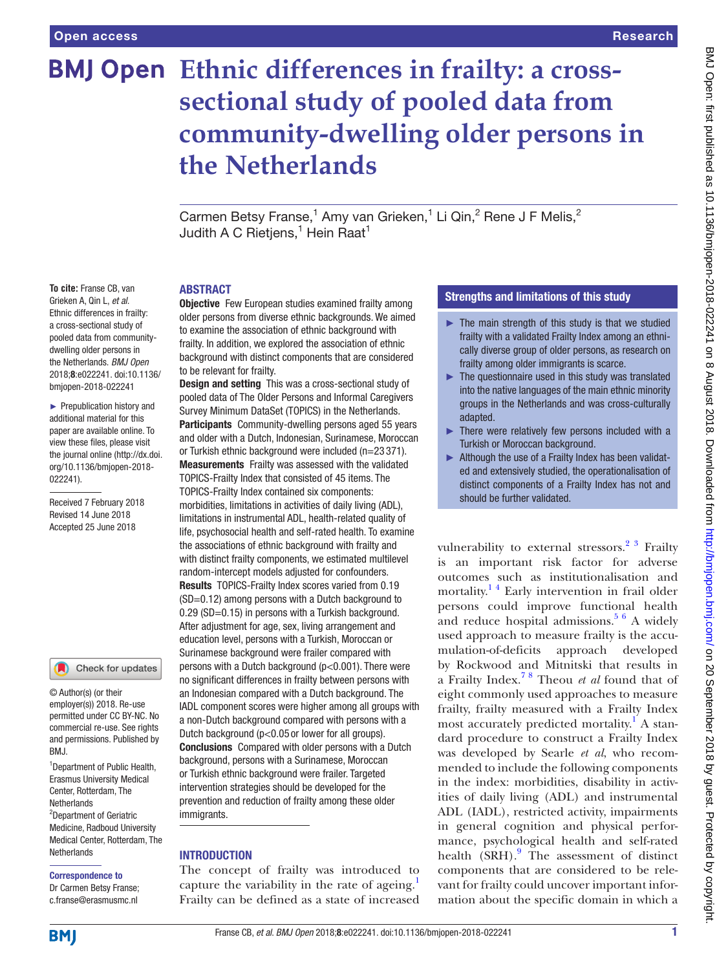**To cite:** Franse CB, van Grieken A, Qin L, *et al*. Ethnic differences in frailty: a cross-sectional study of pooled data from communitydwelling older persons in the Netherlands. *BMJ Open* 2018;8:e022241. doi:10.1136/ bmjopen-2018-022241 ► Prepublication history and additional material for this paper are available online. To view these files, please visit the journal online [\(http://dx.doi.](http://dx.doi.org/10.1136/bmjopen-2018-022241) [org/10.1136/bmjopen-2018-](http://dx.doi.org/10.1136/bmjopen-2018-022241)

[022241\)](http://dx.doi.org/10.1136/bmjopen-2018-022241).

Received 7 February 2018 Revised 14 June 2018 Accepted 25 June 2018

1 Department of Public Health, Erasmus University Medical Center, Rotterdam, The **Netherlands** 

Check for updates

© Author(s) (or their employer(s)) 2018. Re-use permitted under CC BY-NC. No commercial re-use. See rights and permissions. Published by

<sup>2</sup>Department of Geriatric Medicine, Radboud University Medical Center, Rotterdam, The

# **BMJ Open** Ethnic differences in frailty: a cross**sectional study of pooled data from community-dwelling older persons in the Netherlands**

Carmen Betsy Franse,<sup>1</sup> Amy van Grieken,<sup>1</sup> Li Qin,<sup>2</sup> Rene J F Melis,<sup>2</sup> Judith A C Rietjens, $^1$  Hein Raat $^1$ 

#### **ABSTRACT**

**Objective** Few European studies examined frailty among older persons from diverse ethnic backgrounds. We aimed to examine the association of ethnic background with frailty. In addition, we explored the association of ethnic background with distinct components that are considered to be relevant for frailty.

Design and setting This was a cross-sectional study of pooled data of The Older Persons and Informal Caregivers Survey Minimum DataSet (TOPICS) in the Netherlands. Participants Community-dwelling persons aged 55 years and older with a Dutch, Indonesian, Surinamese, Moroccan or Turkish ethnic background were included (n=23 371). Measurements Frailty was assessed with the validated TOPICS-Frailty Index that consisted of 45 items. The TOPICS-Frailty Index contained six components: morbidities, limitations in activities of daily living (ADL), limitations in instrumental ADL, health-related quality of life, psychosocial health and self-rated health. To examine the associations of ethnic background with frailty and with distinct frailty components, we estimated multilevel random-intercept models adjusted for confounders. Results TOPICS-Frailty Index scores varied from 0.19 (SD=0.12) among persons with a Dutch background to 0.29 (SD=0.15) in persons with a Turkish background. After adjustment for age, sex, living arrangement and education level, persons with a Turkish, Moroccan or Surinamese background were frailer compared with persons with a Dutch background (p<0.001). There were no significant differences in frailty between persons with an Indonesian compared with a Dutch background. The IADL component scores were higher among all groups with a non-Dutch background compared with persons with a Dutch background (p<0.05 or lower for all groups). Conclusions Compared with older persons with a Dutch background, persons with a Surinamese, Moroccan or Turkish ethnic background were frailer. Targeted intervention strategies should be developed for the prevention and reduction of frailty among these older immigrants.

#### **INTRODUCTION**

The concept of frailty was introduced to capture the variability in the rate of ageing.<sup>[1](#page-8-0)</sup> Frailty can be defined as a state of increased

## Strengths and limitations of this study

- $\blacktriangleright$  The main strength of this study is that we studied frailty with a validated Frailty Index among an ethnically diverse group of older persons, as research on frailty among older immigrants is scarce.
- $\blacktriangleright$  The questionnaire used in this study was translated into the native languages of the main ethnic minority groups in the Netherlands and was cross-culturally adapted.
- $\blacktriangleright$  There were relatively few persons included with a Turkish or Moroccan background.
- ► Although the use of a Frailty Index has been validated and extensively studied, the operationalisation of distinct components of a Frailty Index has not and should be further validated.

vulnerability to external stressors. $2^3$  Frailty is an important risk factor for adverse outcomes such as institutionalisation and mortality.<sup>14</sup> Early intervention in frail older persons could improve functional health and reduce hospital admissions. $56$  A widely used approach to measure frailty is the accumulation-of-deficits approach developed by Rockwood and Mitnitski that results in a Frailty Index[.7 8](#page-8-3) Theou *et al* found that of eight commonly used approaches to measure frailty, frailty measured with a Frailty Index most accurately predicted mortality.<sup>[1](#page-8-0)</sup> A standard procedure to construct a Frailty Index was developed by Searle *et al*, who recommended to include the following components in the index: morbidities, disability in activities of daily living (ADL) and instrumental ADL (IADL), restricted activity, impairments in general cognition and physical performance, psychological health and self-rated health (SRH).<sup>9</sup> The assessment of distinct components that are considered to be relevant for frailty could uncover important information about the specific domain in which a

**BMI** 

**Netherlands** 

BMJ.

Correspondence to Dr Carmen Betsy Franse; c.franse@erasmusmc.nl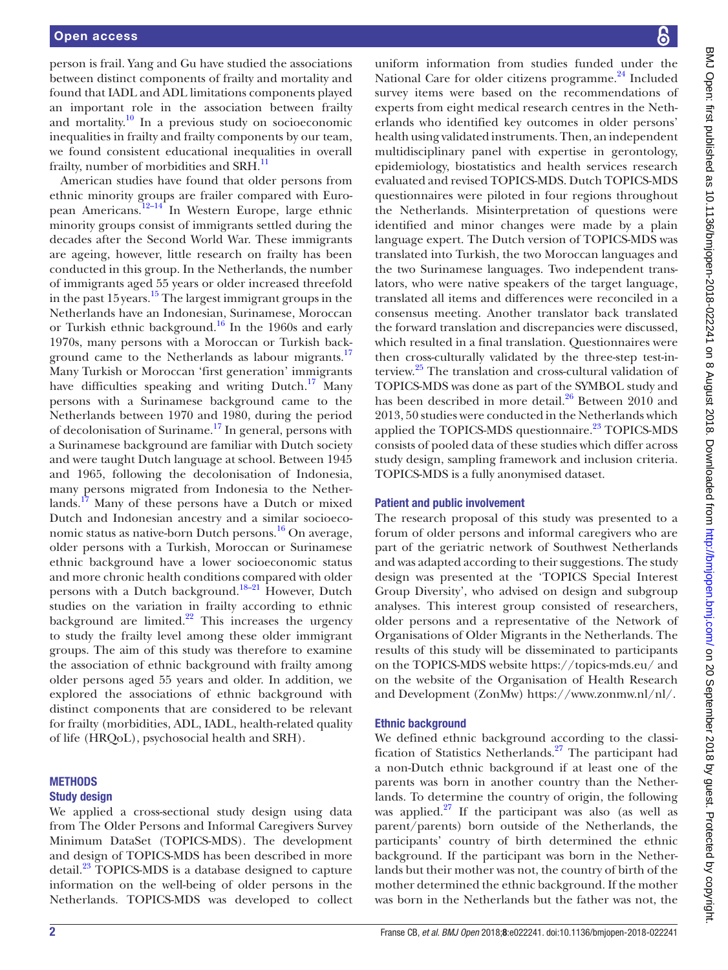person is frail. Yang and Gu have studied the associations between distinct components of frailty and mortality and found that IADL and ADL limitations components played an important role in the association between frailty and mortality.<sup>10</sup> In a previous study on socioeconomic inequalities in frailty and frailty components by our team, we found consistent educational inequalities in overall frailty, number of morbidities and SRH.<sup>11</sup>

American studies have found that older persons from ethnic minority groups are frailer compared with European Americans.[12–14](#page-8-7) In Western Europe, large ethnic minority groups consist of immigrants settled during the decades after the Second World War. These immigrants are ageing, however, little research on frailty has been conducted in this group. In the Netherlands, the number of immigrants aged 55 years or older increased threefold in the past [15](#page-8-8) years.<sup>15</sup> The largest immigrant groups in the Netherlands have an Indonesian, Surinamese, Moroccan or Turkish ethnic background.<sup>16</sup> In the 1960s and early 1970s, many persons with a Moroccan or Turkish background came to the Netherlands as labour migrants.<sup>17</sup> Many Turkish or Moroccan 'first generation' immigrants have difficulties speaking and writing Dutch.<sup>[17](#page-8-10)</sup> Many persons with a Surinamese background came to the Netherlands between 1970 and 1980, during the period of decolonisation of Suriname.[17](#page-8-10) In general, persons with a Surinamese background are familiar with Dutch society and were taught Dutch language at school. Between 1945 and 1965, following the decolonisation of Indonesia, many persons migrated from Indonesia to the Netherlands.[17](#page-8-10) Many of these persons have a Dutch or mixed Dutch and Indonesian ancestry and a similar socioeconomic status as native-born Dutch persons.<sup>16</sup> On average, older persons with a Turkish, Moroccan or Surinamese ethnic background have a lower socioeconomic status and more chronic health conditions compared with older persons with a Dutch background.<sup>[18–21](#page-8-11)</sup> However, Dutch studies on the variation in frailty according to ethnic background are limited. $22$  This increases the urgency to study the frailty level among these older immigrant groups. The aim of this study was therefore to examine the association of ethnic background with frailty among older persons aged 55 years and older. In addition, we explored the associations of ethnic background with distinct components that are considered to be relevant for frailty (morbidities, ADL, IADL, health-related quality of life (HRQoL), psychosocial health and SRH).

## **METHODS**

## Study design

We applied a cross-sectional study design using data from The Older Persons and Informal Caregivers Survey Minimum DataSet (TOPICS-MDS). The development and design of TOPICS-MDS has been described in more detail.<sup>23</sup> TOPICS-MDS is a database designed to capture information on the well-being of older persons in the Netherlands. TOPICS-MDS was developed to collect

uniform information from studies funded under the National Care for older citizens programme. $^{24}$  Included survey items were based on the recommendations of experts from eight medical research centres in the Netherlands who identified key outcomes in older persons' health using validated instruments. Then, an independent multidisciplinary panel with expertise in gerontology, epidemiology, biostatistics and health services research evaluated and revised TOPICS-MDS. Dutch TOPICS-MDS questionnaires were piloted in four regions throughout the Netherlands. Misinterpretation of questions were identified and minor changes were made by a plain language expert. The Dutch version of TOPICS-MDS was translated into Turkish, the two Moroccan languages and the two Surinamese languages. Two independent translators, who were native speakers of the target language, translated all items and differences were reconciled in a consensus meeting. Another translator back translated the forward translation and discrepancies were discussed, which resulted in a final translation. Questionnaires were then cross-culturally validated by the three-step test-interview.[25](#page-8-15) The translation and cross-cultural validation of TOPICS-MDS was done as part of the SYMBOL study and has been described in more detail.<sup>[26](#page-8-16)</sup> Between 2010 and 2013, 50 studies were conducted in the Netherlands which applied the TOPICS-MDS questionnaire.<sup>23</sup> TOPICS-MDS consists of pooled data of these studies which differ across study design, sampling framework and inclusion criteria. TOPICS-MDS is a fully anonymised dataset.

## Patient and public involvement

The research proposal of this study was presented to a forum of older persons and informal caregivers who are part of the geriatric network of Southwest Netherlands and was adapted according to their suggestions. The study design was presented at the 'TOPICS Special Interest Group Diversity', who advised on design and subgroup analyses. This interest group consisted of researchers, older persons and a representative of the Network of Organisations of Older Migrants in the Netherlands. The results of this study will be disseminated to participants on the TOPICS-MDS website<https://topics-mds.eu/>and on the website of the Organisation of Health Research and Development (ZonMw)<https://www.zonmw.nl/nl/.>

## Ethnic background

We defined ethnic background according to the classification of Statistics Netherlands.<sup>27</sup> The participant had a non-Dutch ethnic background if at least one of the parents was born in another country than the Netherlands. To determine the country of origin, the following was applied. $27$  If the participant was also (as well as parent/parents) born outside of the Netherlands, the participants' country of birth determined the ethnic background. If the participant was born in the Netherlands but their mother was not, the country of birth of the mother determined the ethnic background. If the mother was born in the Netherlands but the father was not, the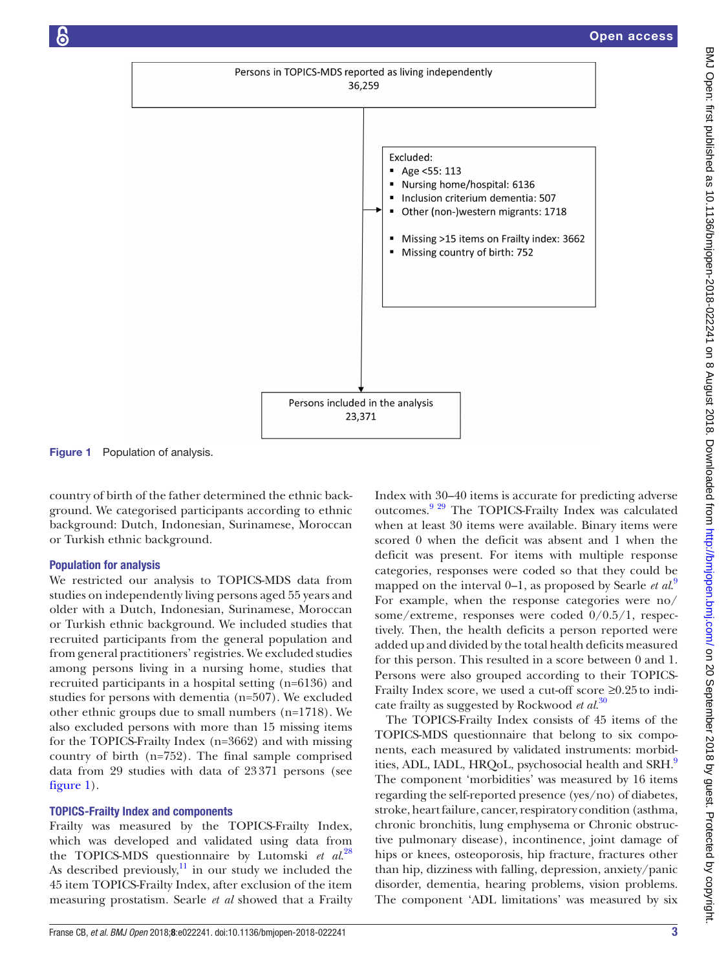

<span id="page-2-0"></span>Figure 1 Population of analysis.

country of birth of the father determined the ethnic background. We categorised participants according to ethnic background: Dutch, Indonesian, Surinamese, Moroccan or Turkish ethnic background.

#### Population for analysis

We restricted our analysis to TOPICS-MDS data from studies on independently living persons aged 55 years and older with a Dutch, Indonesian, Surinamese, Moroccan or Turkish ethnic background. We included studies that recruited participants from the general population and from general practitioners' registries. We excluded studies among persons living in a nursing home, studies that recruited participants in a hospital setting (n=6136) and studies for persons with dementia (n=507). We excluded other ethnic groups due to small numbers (n=1718). We also excluded persons with more than 15 missing items for the TOPICS-Frailty Index (n=3662) and with missing country of birth (n=752). The final sample comprised data from 29 studies with data of 23371 persons (see [figure](#page-2-0) 1).

#### TOPICS-Frailty Index and components

Frailty was measured by the TOPICS-Frailty Index, which was developed and validated using data from the TOPICS-MDS questionnaire by Lutomski *et al*. [28](#page-8-18) As described previously,  $\frac{11}{11}$  $\frac{11}{11}$  $\frac{11}{11}$  in our study we included the 45 item TOPICS-Frailty Index, after exclusion of the item measuring prostatism. Searle *et al* showed that a Frailty

Index with 30–40 items is accurate for predicting adverse outcomes[.9 29](#page-8-4) The TOPICS-Frailty Index was calculated when at least 30 items were available. Binary items were scored 0 when the deficit was absent and 1 when the deficit was present. For items with multiple response categories, responses were coded so that they could be mapped on the interval 0–1, as proposed by Searle *et al*. [9](#page-8-4) For example, when the response categories were no/ some/extreme, responses were coded 0/0.5/1, respectively. Then, the health deficits a person reported were added up and divided by the total health deficits measured for this person. This resulted in a score between 0 and 1. Persons were also grouped according to their TOPICS-Frailty Index score, we used a cut-off score  $\geq 0.25$  to indicate frailty as suggested by Rockwood *et al*. [30](#page-8-19)

The TOPICS-Frailty Index consists of 45 items of the TOPICS-MDS questionnaire that belong to six components, each measured by validated instruments: morbidities, ADL, IADL, HRQoL, psychosocial health and SRH.<sup>9</sup> The component 'morbidities' was measured by 16 items regarding the self-reported presence (yes/no) of diabetes, stroke, heart failure, cancer, respiratory condition (asthma, chronic bronchitis, lung emphysema or Chronic obstructive pulmonary disease), incontinence, joint damage of hips or knees, osteoporosis, hip fracture, fractures other than hip, dizziness with falling, depression, anxiety/panic disorder, dementia, hearing problems, vision problems. The component 'ADL limitations' was measured by six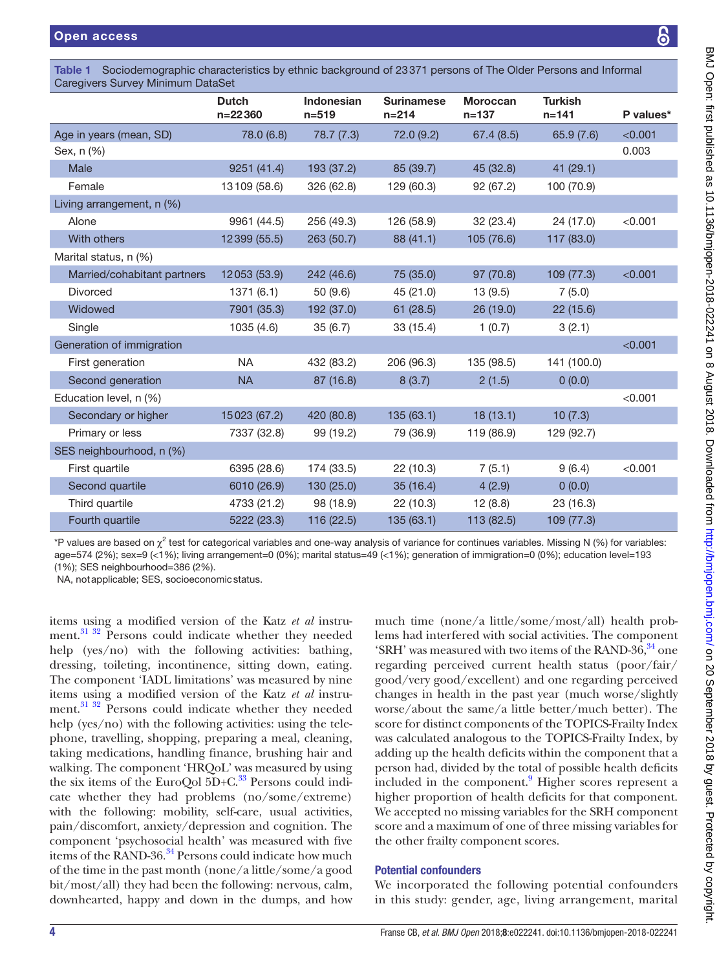<span id="page-3-0"></span>

| Table 1 Sociodemographic characteristics by ethnic background of 23371 persons of The Older Persons and Informal |
|------------------------------------------------------------------------------------------------------------------|
| Caregivers Survey Minimum DataSet                                                                                |

|                             | <b>Dutch</b><br>$n = 22360$ | <b>Indonesian</b><br>$n = 519$ | <b>Surinamese</b><br>$n = 214$ | <b>Moroccan</b><br>$n = 137$ | <b>Turkish</b><br>$n = 141$ | P values* |
|-----------------------------|-----------------------------|--------------------------------|--------------------------------|------------------------------|-----------------------------|-----------|
| Age in years (mean, SD)     | 78.0 (6.8)                  | 78.7 (7.3)                     | 72.0 (9.2)                     | 67.4(8.5)                    | 65.9(7.6)                   | < 0.001   |
| Sex, n (%)                  |                             |                                |                                |                              |                             | 0.003     |
| Male                        | 9251 (41.4)                 | 193 (37.2)                     | 85 (39.7)                      | 45 (32.8)                    | 41 (29.1)                   |           |
| Female                      | 13 109 (58.6)               | 326 (62.8)                     | 129 (60.3)                     | 92 (67.2)                    | 100 (70.9)                  |           |
| Living arrangement, n (%)   |                             |                                |                                |                              |                             |           |
| Alone                       | 9961 (44.5)                 | 256 (49.3)                     | 126 (58.9)                     | 32 (23.4)                    | 24 (17.0)                   | < 0.001   |
| With others                 | 12 399 (55.5)               | 263 (50.7)                     | 88 (41.1)                      | 105 (76.6)                   | 117 (83.0)                  |           |
| Marital status, n (%)       |                             |                                |                                |                              |                             |           |
| Married/cohabitant partners | 12053 (53.9)                | 242 (46.6)                     | 75 (35.0)                      | 97 (70.8)                    | 109 (77.3)                  | < 0.001   |
| <b>Divorced</b>             | 1371(6.1)                   | 50 (9.6)                       | 45 (21.0)                      | 13(9.5)                      | 7(5.0)                      |           |
| Widowed                     | 7901 (35.3)                 | 192 (37.0)                     | 61(28.5)                       | 26 (19.0)                    | 22(15.6)                    |           |
| Single                      | 1035 (4.6)                  | 35(6.7)                        | 33(15.4)                       | 1(0.7)                       | 3(2.1)                      |           |
| Generation of immigration   |                             |                                |                                |                              |                             | < 0.001   |
| First generation            | <b>NA</b>                   | 432 (83.2)                     | 206 (96.3)                     | 135 (98.5)                   | 141 (100.0)                 |           |
| Second generation           | <b>NA</b>                   | 87 (16.8)                      | 8(3.7)                         | 2(1.5)                       | 0(0.0)                      |           |
| Education level, n (%)      |                             |                                |                                |                              |                             | < 0.001   |
| Secondary or higher         | 15023 (67.2)                | 420 (80.8)                     | 135(63.1)                      | 18(13.1)                     | 10(7.3)                     |           |
| Primary or less             | 7337 (32.8)                 | 99 (19.2)                      | 79 (36.9)                      | 119 (86.9)                   | 129 (92.7)                  |           |
| SES neighbourhood, n (%)    |                             |                                |                                |                              |                             |           |
| First quartile              | 6395 (28.6)                 | 174 (33.5)                     | 22 (10.3)                      | 7(5.1)                       | 9(6.4)                      | < 0.001   |
| Second quartile             | 6010 (26.9)                 | 130 (25.0)                     | 35(16.4)                       | 4(2.9)                       | 0(0.0)                      |           |
| Third quartile              | 4733 (21.2)                 | 98 (18.9)                      | 22(10.3)                       | 12(8.8)                      | 23 (16.3)                   |           |
| Fourth quartile             | 5222 (23.3)                 | 116 (22.5)                     | 135(63.1)                      | 113 (82.5)                   | 109 (77.3)                  |           |

\*P values are based on  $\chi^2$  test for categorical variables and one-way analysis of variance for continues variables. Missing N (%) for variables: age=574 (2%); sex=9 (<1%); living arrangement=0 (0%); marital status=49 (<1%); generation of immigration=0 (0%); education level=193 (1%); SES neighbourhood=386 (2%).

NA, notapplicable; SES, socioeconomicstatus.

items using a modified version of the Katz *et al* instru-ment.<sup>[31 32](#page-8-20)</sup> Persons could indicate whether they needed help (yes/no) with the following activities: bathing, dressing, toileting, incontinence, sitting down, eating. The component 'IADL limitations' was measured by nine items using a modified version of the Katz *et al* instru-ment.<sup>[31 32](#page-8-20)</sup> Persons could indicate whether they needed help (yes/no) with the following activities: using the telephone, travelling, shopping, preparing a meal, cleaning, taking medications, handling finance, brushing hair and walking. The component 'HRQoL' was measured by using the six items of the EuroQol 5D+C.<sup>33</sup> Persons could indicate whether they had problems (no/some/extreme) with the following: mobility, self-care, usual activities, pain/discomfort, anxiety/depression and cognition. The component 'psychosocial health' was measured with five items of the RAND-36.<sup>34</sup> Persons could indicate how much of the time in the past month (none/a little/some/a good bit/most/all) they had been the following: nervous, calm, downhearted, happy and down in the dumps, and how

much time (none/a little/some/most/all) health problems had interfered with social activities. The component 'SRH' was measured with two items of the RAND- $36<sup>34</sup>$  one regarding perceived current health status (poor/fair/ good/very good/excellent) and one regarding perceived changes in health in the past year (much worse/slightly worse/about the same/a little better/much better). The score for distinct components of the TOPICS-Frailty Index was calculated analogous to the TOPICS-Frailty Index, by adding up the health deficits within the component that a person had, divided by the total of possible health deficits included in the component.<sup>9</sup> Higher scores represent a higher proportion of health deficits for that component. We accepted no missing variables for the SRH component score and a maximum of one of three missing variables for the other frailty component scores.

### Potential confounders

We incorporated the following potential confounders in this study: gender, age, living arrangement, marital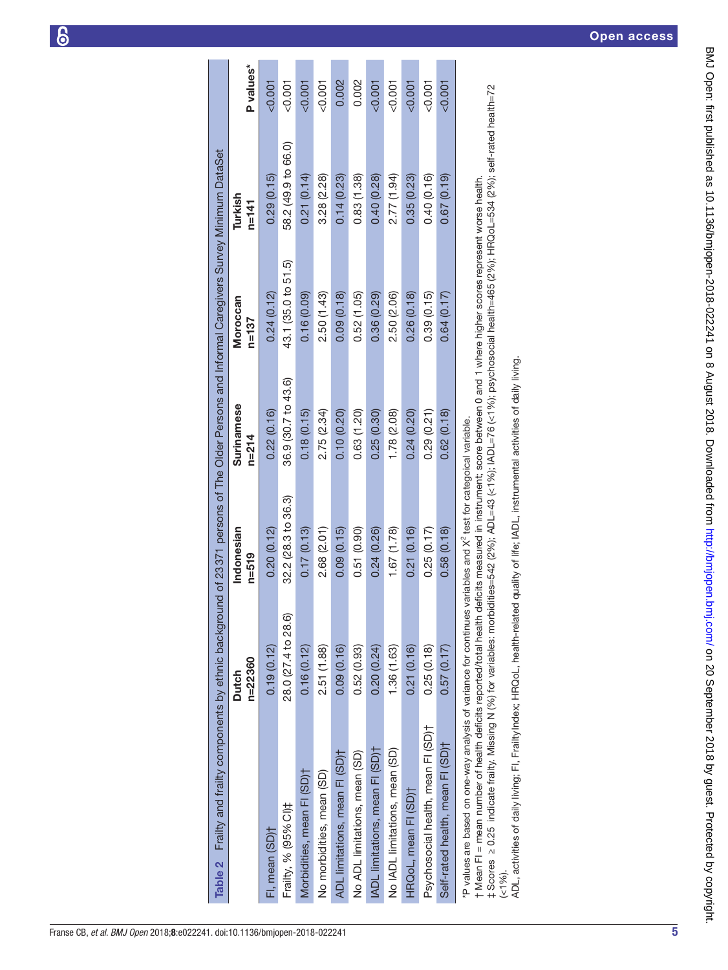| $\overline{\phantom{a}}$ |  |
|--------------------------|--|
|                          |  |

| Table 2 Frailty and frailty components by ethnic backgroun                                                                   |                      |                     | nd of 23371 persons of The Older Persons and Informal Caregivers Survey Minimum DataSet |                     |                      |           |
|------------------------------------------------------------------------------------------------------------------------------|----------------------|---------------------|-----------------------------------------------------------------------------------------|---------------------|----------------------|-----------|
|                                                                                                                              | $n = 22360$<br>Dutch | Indonesian<br>n=519 | <b>Surinamese</b><br>n=214                                                              | Moroccan<br>$n=137$ | Turkish<br>$n = 141$ | P values* |
| FI, mean (SD) <sup>+</sup>                                                                                                   | 0.19(0.12)           | 0.20(0.12)          | 0.22(0.16)                                                                              | 0.24(0.12)          | 0.29(0.15)           | < 0.001   |
| Frailty, % (95% Cl)‡                                                                                                         | 28.0 (27.4 to 28.6)  | 32.2 (28.3 to 36.3) | 36.9 (30.7 to 43.6)                                                                     | 43.1 (35.0 to 51.5) | 58.2 (49.9 to 66.0)  | 0.007     |
| Morbidities, mean FI (SD)†                                                                                                   | 0.16(0.12)           | 0.17(0.13)          | 0.18(0.15)                                                                              | 0.16(0.09)          | 0.21(0.14)           | < 0.001   |
| No morbidities, mean (SD)                                                                                                    | 2.51 (1.88)          | 2.68 (2.01)         | 2.75 (2.34)                                                                             | 2.50 (1.43)         | 3.28 (2.28)          | 50.007    |
| ADL limitations, mean FI (SD)†                                                                                               | 0.09(0.16)           | 0.09(0.15)          | 0.10(0.20)                                                                              | 0.09(0.18)          | 0.14(0.23)           | 0.002     |
| No ADL limitations, mean (SD)                                                                                                | 0.52(0.93)           | 0.51(0.90)          | 0.63(1.20)                                                                              | 0.52(1.05)          | 0.83(1.38)           | 0.002     |
| IADL limitations, mean FI (SD)†                                                                                              | 0.20(0.24)           | 0.24(0.26)          | 0.25(0.30)                                                                              | 0.36(0.29)          | 0.40(0.28)           | < 0.001   |
| No IADL limitations, mean (SD)                                                                                               | 1.36 (1.63)          | 1.67(1.78)          | 1.78(2.08)                                                                              | 2.50 (2.06)         | 2.77 (1.94)          | 0.007     |
| HRQoL, mean FI (SD)†                                                                                                         | 0.21(0.16)           | 0.21(0.16)          | 0.24(0.20)                                                                              | 0.26(0.18)          | 0.35(0.23)           | 0.007     |
| Psychosocial health, mean FI (SD)†                                                                                           | 0.25(0.18)           | 0.25(0.17)          | 0.29(0.21)                                                                              | 0.39(0.15)          | 0.40(0.16)           | 0.007     |
| Self-rated health, mean FI (SD) <sup>+</sup>                                                                                 | 0.57(0.17)           | 0.58(0.18)          | 0.62(0.18)                                                                              | 0.64(0.17)          | 0.67(0.19)           | 50.007    |
| *P values are based on one-way analysis of variance for continues variables and X <sup>2</sup> test for categoical variable. |                      |                     |                                                                                         |                     |                      |           |

† Mean FI = mean number of health deficits reported/total health deficits measured in instrument; score between 0 and 1 where higher scores represent worse health.<br>‡ Scores ≥0.25 indicate frailty. Missing N (%) for variab ‡ Scores ≥ 0.25 indicate frailty. Missing N (%) for variables: morbidities=542 (2%); ADL=43 (<1%); IADL=76 (<1%); psychosocial health=465 (2%); HRQoL=534 (2%); self-rated health=72 † Mean FI = mean number of health deficits reported/total health deficits measured in instrument; score between 0 and 1 where higher scores represent worse health.

<span id="page-4-0"></span>(<1%).<br>ADL, activities of daily living; Fl, Frailty Index; HRQoL, health-related quality of life; IADL, instrumental activities of daily living. ADL, activities of daily living; FI, Frailty Index; HRQoL, health-related quality of life; IADL, instrumental activities of daily living.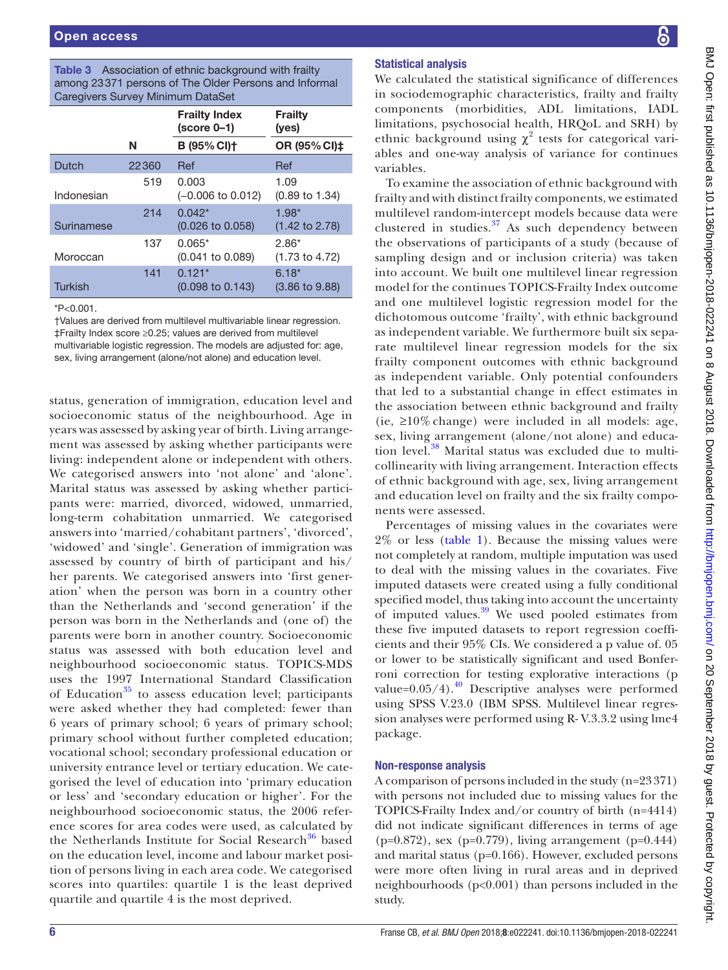<span id="page-5-0"></span>Table 3 Association of ethnic background with frailty among 23371 persons of The Older Persons and Informal Caregivers Survey Minimum DataSet

|                |       | <b>Frailty Index</b><br>$(score 0-1)$   | <b>Frailty</b><br>(yes)              |
|----------------|-------|-----------------------------------------|--------------------------------------|
|                | Ν     | <b>B</b> (95% CI) <sup>+</sup>          | OR (95% CI)‡                         |
| <b>Dutch</b>   | 22360 | Ref                                     | Ref                                  |
| Indonesian     | 519   | 0.003<br>$(-0.006 \text{ to } 0.012)$   | 1.09<br>$(0.89 \text{ to } 1.34)$    |
| Surinamese     | 214   | $0.042*$<br>$(0.026 \text{ to } 0.058)$ | $1.98*$<br>$(1.42 \text{ to } 2.78)$ |
| Moroccan       | 137   | $0.065*$<br>$(0.041 \text{ to } 0.089)$ | $2.86*$<br>$(1.73 \text{ to } 4.72)$ |
| <b>Turkish</b> | 141   | $0.121*$<br>$(0.098 \text{ to } 0.143)$ | $6.18*$<br>(3.86 to 9.88)            |

 $*P<0.001$ .

†Values are derived from multilevel multivariable linear regression. ‡Frailty Index score ≥0.25; values are derived from multilevel multivariable logistic regression. The models are adjusted for: age, sex, living arrangement (alone/not alone) and education level.

status, generation of immigration, education level and socioeconomic status of the neighbourhood. Age in years was assessed by asking year of birth. Living arrangement was assessed by asking whether participants were living: independent alone or independent with others. We categorised answers into 'not alone' and 'alone'. Marital status was assessed by asking whether participants were: married, divorced, widowed, unmarried, long-term cohabitation unmarried. We categorised answers into 'married/cohabitant partners', 'divorced', 'widowed' and 'single'. Generation of immigration was assessed by country of birth of participant and his/ her parents. We categorised answers into 'first generation' when the person was born in a country other than the Netherlands and 'second generation' if the person was born in the Netherlands and (one of) the parents were born in another country. Socioeconomic status was assessed with both education level and neighbourhood socioeconomic status. TOPICS-MDS uses the 1997 International Standard Classification of Education<sup>35</sup> to assess education level; participants were asked whether they had completed: fewer than 6 years of primary school; 6 years of primary school; primary school without further completed education; vocational school; secondary professional education or university entrance level or tertiary education. We categorised the level of education into 'primary education or less' and 'secondary education or higher'. For the neighbourhood socioeconomic status, the 2006 reference scores for area codes were used, as calculated by the Netherlands Institute for Social Research<sup>36</sup> based on the education level, income and labour market position of persons living in each area code. We categorised scores into quartiles: quartile 1 is the least deprived quartile and quartile 4 is the most deprived.

## Statistical analysis

We calculated the statistical significance of differences in sociodemographic characteristics, frailty and frailty components (morbidities, ADL limitations, IADL limitations, psychosocial health, HRQoL and SRH) by ethnic background using  $\chi^2$  tests for categorical variables and one-way analysis of variance for continues variables.

To examine the association of ethnic background with frailty and with distinct frailty components, we estimated multilevel random-intercept models because data were clustered in studies. $37$  As such dependency between the observations of participants of a study (because of sampling design and or inclusion criteria) was taken into account. We built one multilevel linear regression model for the continues TOPICS-Frailty Index outcome and one multilevel logistic regression model for the dichotomous outcome 'frailty', with ethnic background as independent variable. We furthermore built six separate multilevel linear regression models for the six frailty component outcomes with ethnic background as independent variable. Only potential confounders that led to a substantial change in effect estimates in the association between ethnic background and frailty (ie, ≥10% change) were included in all models: age, sex, living arrangement (alone/not alone) and education level.<sup>38</sup> Marital status was excluded due to multicollinearity with living arrangement. Interaction effects of ethnic background with age, sex, living arrangement and education level on frailty and the six frailty components were assessed.

Percentages of missing values in the covariates were 2% or less ([table](#page-3-0) 1). Because the missing values were not completely at random, multiple imputation was used to deal with the missing values in the covariates. Five imputed datasets were created using a fully conditional specified model, thus taking into account the uncertainty of imputed values. $39$  We used pooled estimates from these five imputed datasets to report regression coefficients and their 95% CIs. We considered a p value of. 05 or lower to be statistically significant and used Bonferroni correction for testing explorative interactions (p value= $0.05/4$ ).<sup>40</sup> Descriptive analyses were performed using SPSS V.23.0 (IBM SPSS. Multilevel linear regression analyses were performed using R- V.3.3.2 using lme4 package.

## Non-response analysis

A comparison of persons included in the study (n=23371) with persons not included due to missing values for the TOPICS-Frailty Index and/or country of birth (n=4414) did not indicate significant differences in terms of age  $(p=0.872)$ , sex  $(p=0.779)$ , living arrangement  $(p=0.444)$ and marital status (p=0.166). However, excluded persons were more often living in rural areas and in deprived neighbourhoods  $(p<0.001)$  than persons included in the study.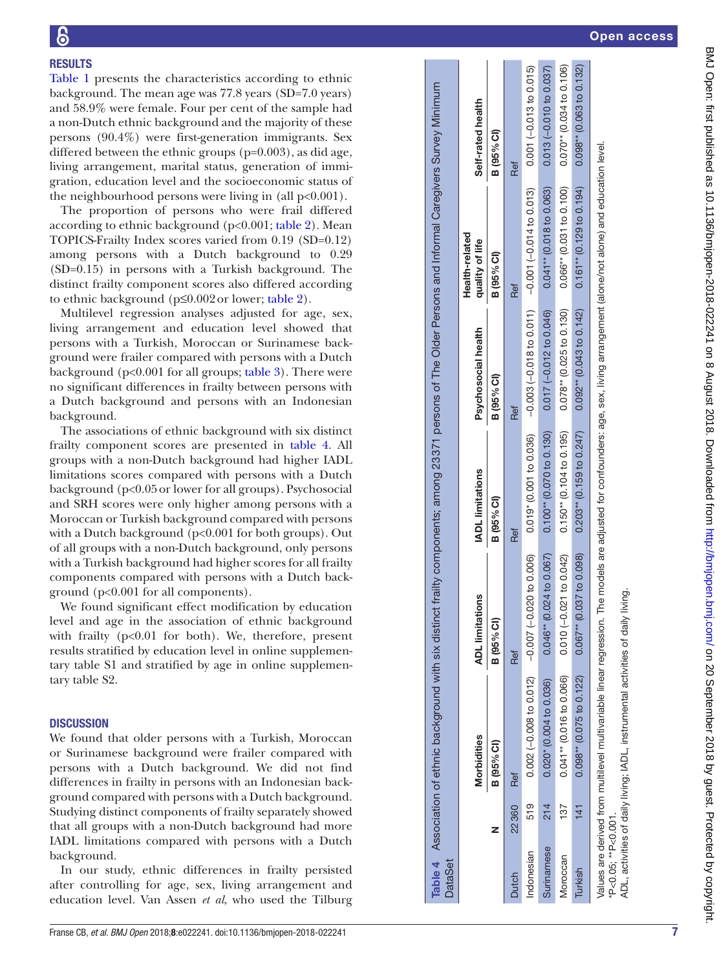## **RESULTS**

[Table](#page-3-0) 1 presents the characteristics according to ethnic background. The mean age was 77.8 years (SD=7.0 years) and 58.9% were female. Four per cent of the sample had a non-Dutch ethnic background and the majority of these persons (90.4%) were first-generation immigrants. Sex differed between the ethnic groups (p=0.003), as did age, living arrangement, marital status, generation of immi gration, education level and the socioeconomic status of the neighbourhood persons were living in (all  $p<0.001$ ).

The proportion of persons who were frail differed according to ethnic background (p<0.001; [table](#page-4-0) 2). Mean TOPICS-Frailty Index scores varied from 0.19 (SD=0.12) among persons with a Dutch background to 0.29 (SD=0.15) in persons with a Turkish background. The distinct frailty component scores also differed according to ethnic background (p≤0.002 or lower; [table](#page-4-0) 2).

Multilevel regression analyses adjusted for age, sex, living arrangement and education level showed that persons with a Turkish, Moroccan or Surinamese background were frailer compared with persons with a Dutch background (p<0.001 for all groups; [table](#page-5-0) 3). There were no significant differences in frailty between persons with a Dutch background and persons with an Indonesian background.

The associations of ethnic background with six distinct frailty component scores are presented in [table](#page-6-0) 4. All groups with a non-Dutch background had higher IADL limitations scores compared with persons with a Dutch background (p<0.05or lower for all groups). Psychosocial and SRH scores were only higher among persons with a Moroccan or Turkish background compared with persons with a Dutch background (p<0.001 for both groups). Out of all groups with a non-Dutch background, only persons with a Turkish background had higher scores for all frailty components compared with persons with a Dutch background (p<0.001 for all components).

We found significant effect modification by education level and age in the association of ethnic background with frailty (p<0.01 for both). We, therefore, present results stratified by education level in online [supplemen](https://dx.doi.org/10.1136/bmjopen-2018-022241) [tary table S1](https://dx.doi.org/10.1136/bmjopen-2018-022241) and stratified by age in online [supplemen](https://dx.doi.org/10.1136/bmjopen-2018-022241) [tary table S2.](https://dx.doi.org/10.1136/bmjopen-2018-022241)

## **DISCUSSION**

We found that older persons with a Turkish, Moroccan or Surinamese background were frailer compared with persons with a Dutch background. We did not find differences in frailty in persons with an Indonesian background compared with persons with a Dutch background. Studying distinct components of frailty separately showed that all groups with a non-Dutch background had more IADL limitations compared with persons with a Dutch background.

In our study, ethnic differences in frailty persisted after controlling for age, sex, living arrangement and education level. Van Assen *et al*, who used the Tilburg

| <b>DataSet</b> |             | Table 4 Association of ethnic background with six distinct frailty components; among 23 371 persons of The Older Persons and Informal Caregivers Survey Minimum |                                                      |                              |                                                                                                          |                                                                       |                            |
|----------------|-------------|-----------------------------------------------------------------------------------------------------------------------------------------------------------------|------------------------------------------------------|------------------------------|----------------------------------------------------------------------------------------------------------|-----------------------------------------------------------------------|----------------------------|
|                |             | <b>Morbidities</b>                                                                                                                                              | <b>ADL</b> limitations                               | <b>IADL</b> limitations      | Psychosocial health                                                                                      | Health-related<br>quality of life                                     | Self-rated health          |
|                |             | <b>B</b> (95% CI)                                                                                                                                               | <b>B</b> (95% CI)                                    | B (95% CI)                   | B (95% CI)                                                                                               | B (95% CI)                                                            | <b>B</b> (95% CI)          |
| Dutch          | 22360       | Ref                                                                                                                                                             | Ref                                                  | Ref                          | Ref                                                                                                      | Ref                                                                   | Ref                        |
| Indonesian     | 519         |                                                                                                                                                                 | $0.002$ (-0.008 to 0.012) $-0.007$ (-0.020 to 0.006) | $0.019$ $(0.001$ to $0.036)$ |                                                                                                          | $-0.003(-0.018 \text{ to } 0.011)$ $-0.001(-0.014 \text{ to } 0.013)$ | $0.001 (-0.013 to 0.015)$  |
| Surinamese     | 214         | 0.020* (0.004 to 0.036)                                                                                                                                         | to 0.067)<br>$0.046**$ (0.024                        | $0.100**$ (0.070 to 0.130)   | $0.017 (-0.012 to 0.046)$                                                                                | $0.041**$ (0.018 to 0.063)                                            | $0.013(-0.010 to 0.037)$   |
| Moroccan       | 137         | 0.041** (0.016 to 0.066)                                                                                                                                        | $0.010 (-0.021 to 0.042)$                            | $0.150**$ (0.104 to 0.195)   | $0.078**$ (0.025 to 0.130)                                                                               | $0.066$ $(0.031$ to $0.100)$                                          | $0.070**$ (0.034 to 0.106) |
| Turkish        | $rac{1}{3}$ | $0.098**$ (0.075 to 0.122)                                                                                                                                      | to 0.098)<br>$0.067**$ (0.037                        | $0.203**$ (0.159 to 0.247)   | $0.092**$ (0.043 to 0.142)                                                                               | $0.161**$ (0.129 to 0.194)                                            | $0.098**$ (0.063 to 0.132) |
|                |             | Values are derived from multilevel multivariable linear regression. The                                                                                         |                                                      |                              | models are adjusted for confounders: age, sex, living arrangement (alone/not alone) and education level. |                                                                       |                            |

\*P<0.05; \*\*P<0.001.  $P < 0.05$ ;  $^{**}P < 0.001$ .

<span id="page-6-0"></span>ADL, activities of daily living; IADL, instrumental activities of daily living. ADL, activities of daily living; IADL, instrumental activities of daily living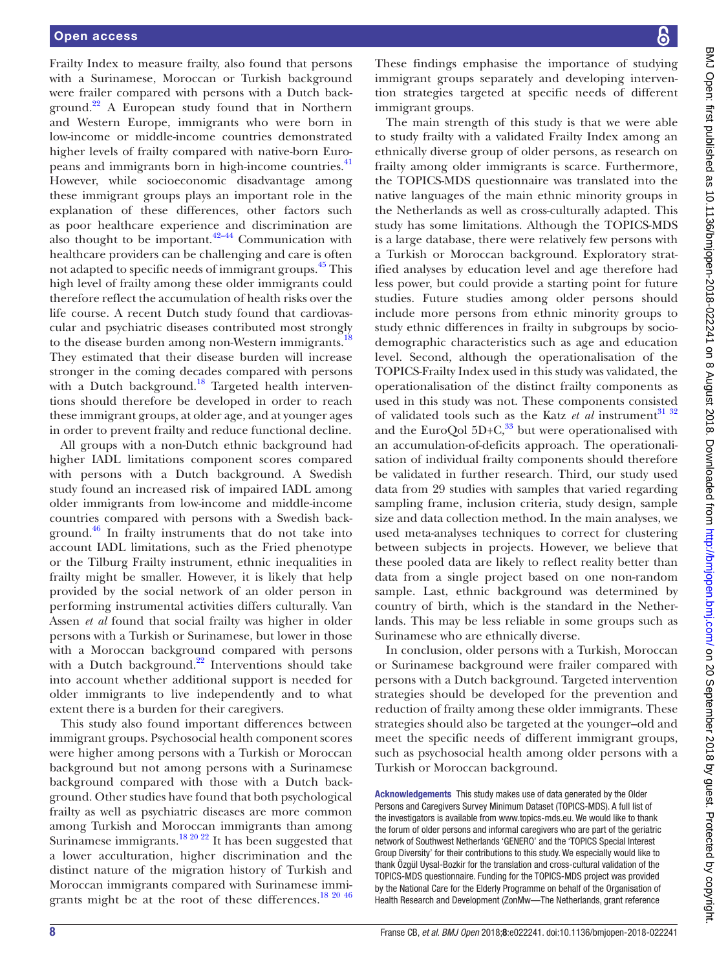Frailty Index to measure frailty, also found that persons with a Surinamese, Moroccan or Turkish background were frailer compared with persons with a Dutch background.<sup>22</sup> A European study found that in Northern and Western Europe, immigrants who were born in low-income or middle-income countries demonstrated higher levels of frailty compared with native-born Europeans and immigrants born in high-income countries.<sup>41</sup> However, while socioeconomic disadvantage among these immigrant groups plays an important role in the explanation of these differences, other factors such as poor healthcare experience and discrimination are also thought to be important. $42-44$  Communication with healthcare providers can be challenging and care is often not adapted to specific needs of immigrant groups[.45](#page-9-3) This high level of frailty among these older immigrants could therefore reflect the accumulation of health risks over the life course. A recent Dutch study found that cardiovascular and psychiatric diseases contributed most strongly to the disease burden among non-Western immigrants.<sup>[18](#page-8-11)</sup> They estimated that their disease burden will increase stronger in the coming decades compared with persons with a Dutch background.<sup>18</sup> Targeted health interventions should therefore be developed in order to reach these immigrant groups, at older age, and at younger ages in order to prevent frailty and reduce functional decline.

All groups with a non-Dutch ethnic background had higher IADL limitations component scores compared with persons with a Dutch background. A Swedish study found an increased risk of impaired IADL among older immigrants from low-income and middle-income countries compared with persons with a Swedish background.[46](#page-9-4) In frailty instruments that do not take into account IADL limitations, such as the Fried phenotype or the Tilburg Frailty instrument, ethnic inequalities in frailty might be smaller. However, it is likely that help provided by the social network of an older person in performing instrumental activities differs culturally. Van Assen *et al* found that social frailty was higher in older persons with a Turkish or Surinamese, but lower in those with a Moroccan background compared with persons with a Dutch background. $^{22}$  $^{22}$  $^{22}$  Interventions should take into account whether additional support is needed for older immigrants to live independently and to what extent there is a burden for their caregivers.

This study also found important differences between immigrant groups. Psychosocial health component scores were higher among persons with a Turkish or Moroccan background but not among persons with a Surinamese background compared with those with a Dutch background. Other studies have found that both psychological frailty as well as psychiatric diseases are more common among Turkish and Moroccan immigrants than among Surinamese immigrants[.18 20 22](#page-8-11) It has been suggested that a lower acculturation, higher discrimination and the distinct nature of the migration history of Turkish and Moroccan immigrants compared with Surinamese immigrants might be at the root of these differences.<sup>18 20</sup> <sup>46</sup>

These findings emphasise the importance of studying immigrant groups separately and developing intervention strategies targeted at specific needs of different immigrant groups.

The main strength of this study is that we were able to study frailty with a validated Frailty Index among an ethnically diverse group of older persons, as research on frailty among older immigrants is scarce. Furthermore, the TOPICS-MDS questionnaire was translated into the native languages of the main ethnic minority groups in the Netherlands as well as cross-culturally adapted. This study has some limitations. Although the TOPICS-MDS is a large database, there were relatively few persons with a Turkish or Moroccan background. Exploratory stratified analyses by education level and age therefore had less power, but could provide a starting point for future studies. Future studies among older persons should include more persons from ethnic minority groups to study ethnic differences in frailty in subgroups by sociodemographic characteristics such as age and education level. Second, although the operationalisation of the TOPICS-Frailty Index used in this study was validated, the operationalisation of the distinct frailty components as used in this study was not. These components consisted of validated tools such as the Katz *et al* instrument<sup>31 32</sup> and the EuroQol  $5D+C<sub>1</sub><sup>33</sup>$  but were operationalised with an accumulation-of-deficits approach. The operationalisation of individual frailty components should therefore be validated in further research. Third, our study used data from 29 studies with samples that varied regarding sampling frame, inclusion criteria, study design, sample size and data collection method. In the main analyses, we used meta-analyses techniques to correct for clustering between subjects in projects. However, we believe that these pooled data are likely to reflect reality better than data from a single project based on one non-random sample. Last, ethnic background was determined by country of birth, which is the standard in the Netherlands. This may be less reliable in some groups such as Surinamese who are ethnically diverse.

In conclusion, older persons with a Turkish, Moroccan or Surinamese background were frailer compared with persons with a Dutch background. Targeted intervention strategies should be developed for the prevention and reduction of frailty among these older immigrants. These strategies should also be targeted at the younger–old and meet the specific needs of different immigrant groups, such as psychosocial health among older persons with a Turkish or Moroccan background.

Acknowledgements This study makes use of data generated by the Older Persons and Caregivers Survey Minimum Dataset (TOPICS-MDS). A full list of the investigators is available from www.topics-mds.eu. We would like to thank the forum of older persons and informal caregivers who are part of the geriatric network of Southwest Netherlands 'GENERO' and the 'TOPICS Special Interest Group Diversity' for their contributions to this study. We especially would like to thank Özgül Uysal-Bozkir for the translation and cross-cultural validation of the TOPICS-MDS questionnaire. Funding for the TOPICS-MDS project was provided by the National Care for the Elderly Programme on behalf of the Organisation of Health Research and Development (ZonMw—The Netherlands, grant reference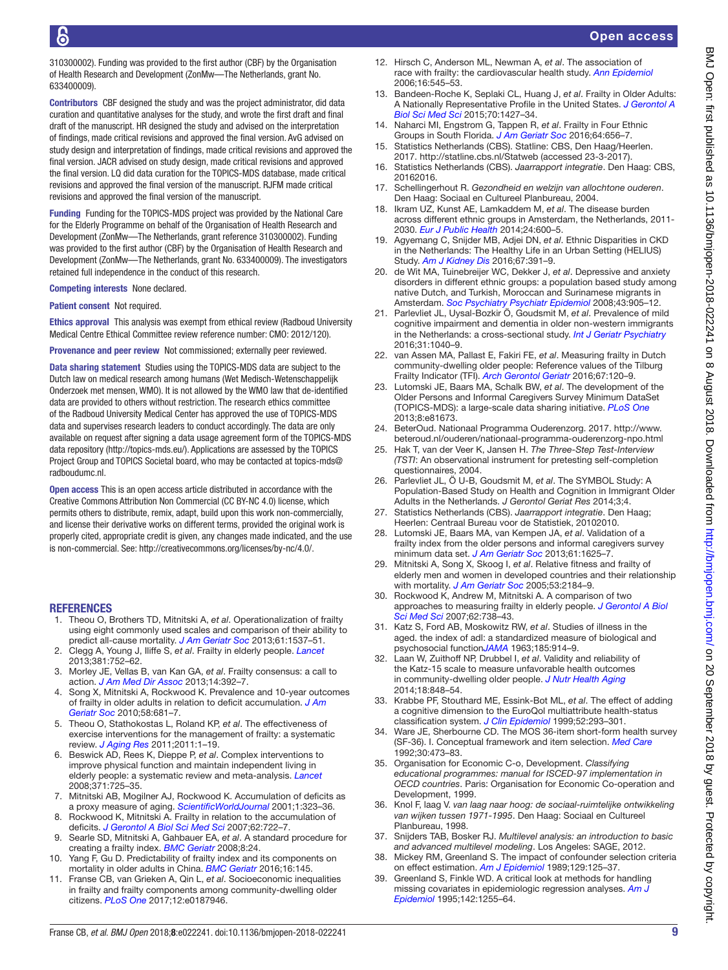310300002). Funding was provided to the first author (CBF) by the Organisation of Health Research and Development (ZonMw—The Netherlands, grant No. 633400009).

Contributors CBF designed the study and was the project administrator, did data curation and quantitative analyses for the study, and wrote the first draft and final draft of the manuscript. HR designed the study and advised on the interpretation of findings, made critical revisions and approved the final version. AvG advised on study design and interpretation of findings, made critical revisions and approved the final version. JACR advised on study design, made critical revisions and approved the final version. LQ did data curation for the TOPICS-MDS database, made critical revisions and approved the final version of the manuscript. RJFM made critical revisions and approved the final version of the manuscript.

Funding Funding for the TOPICS-MDS project was provided by the National Care for the Elderly Programme on behalf of the Organisation of Health Research and Development (ZonMw—The Netherlands, grant reference 310300002). Funding was provided to the first author (CBF) by the Organisation of Health Research and Development (ZonMw—The Netherlands, grant No. 633400009). The investigators retained full independence in the conduct of this research.

Competing interests None declared.

Patient consent Not required.

Ethics approval This analysis was exempt from ethical review (Radboud University Medical Centre Ethical Committee review reference number: CMO: 2012/120).

Provenance and peer review Not commissioned; externally peer reviewed.

Data sharing statement Studies using the TOPICS-MDS data are subject to the Dutch law on medical research among humans (Wet Medisch-Wetenschappelijk Onderzoek met mensen, WMO). It is not allowed by the WMO law that de-identified data are provided to others without restriction. The research ethics committee of the Radboud University Medical Center has approved the use of TOPICS-MDS data and supervises research leaders to conduct accordingly. The data are only available on request after signing a data usage agreement form of the TOPICS-MDS data repository (<http://topics-mds.eu/>). Applications are assessed by the TOPICS Project Group and TOPICS Societal board, who may be contacted at topics-mds@ radboudumc.nl.

Open access This is an open access article distributed in accordance with the Creative Commons Attribution Non Commercial (CC BY-NC 4.0) license, which permits others to distribute, remix, adapt, build upon this work non-commercially, and license their derivative works on different terms, provided the original work is properly cited, appropriate credit is given, any changes made indicated, and the use is non-commercial. See: <http://creativecommons.org/licenses/by-nc/4.0/>.

#### **REFERENCES**

- <span id="page-8-0"></span>1. Theou O, Brothers TD, Mitnitski A, *et al*. Operationalization of frailty using eight commonly used scales and comparison of their ability to predict all-cause mortality. *[J Am Geriatr Soc](http://dx.doi.org/10.1111/jgs.12420)* 2013;61:1537–51.
- <span id="page-8-1"></span>2. Clegg A, Young J, Iliffe S, *et al*. Frailty in elderly people. *[Lancet](http://dx.doi.org/10.1016/S0140-6736(12)62167-9)* 2013;381:752–62.
- 3. Morley JE, Vellas B, van Kan GA, *et al*. Frailty consensus: a call to action. *[J Am Med Dir Assoc](http://dx.doi.org/10.1016/j.jamda.2013.03.022)* 2013;14:392–7.
- 4. Song X, Mitnitski A, Rockwood K. Prevalence and 10-year outcomes of frailty in older adults in relation to deficit accumulation. *[J Am](http://dx.doi.org/10.1111/j.1532-5415.2010.02764.x)  [Geriatr Soc](http://dx.doi.org/10.1111/j.1532-5415.2010.02764.x)* 2010;58:681–7.
- <span id="page-8-2"></span>5. Theou O, Stathokostas L, Roland KP, *et al*. The effectiveness of exercise interventions for the management of frailty: a systematic review. *[J Aging Res](http://dx.doi.org/10.4061/2011/569194)* 2011;2011:1–19.
- 6. Beswick AD, Rees K, Dieppe P, *et al*. Complex interventions to improve physical function and maintain independent living in elderly people: a systematic review and meta-analysis. *[Lancet](http://dx.doi.org/10.1016/S0140-6736(08)60342-6)* 2008;371:725–35.
- <span id="page-8-3"></span>7. Mitnitski AB, Mogilner AJ, Rockwood K. Accumulation of deficits as a proxy measure of aging. *[ScientificWorldJournal](http://dx.doi.org/10.1100/tsw.2001.58)* 2001;1:323–36.
- 8. Rockwood K, Mitnitski A. Frailty in relation to the accumulation of deficits. *[J Gerontol A Biol Sci Med Sci](http://dx.doi.org/10.1093/gerona/62.7.722)* 2007;62:722–7.
- <span id="page-8-4"></span>9. Searle SD, Mitnitski A, Gahbauer EA, *et al*. A standard procedure for creating a frailty index. *[BMC Geriatr](http://dx.doi.org/10.1186/1471-2318-8-24)* 2008;8:24.
- <span id="page-8-5"></span>10. Yang F, Gu D. Predictability of frailty index and its components on mortality in older adults in China. *[BMC Geriatr](http://dx.doi.org/10.1186/s12877-016-0317-z)* 2016;16:145.
- <span id="page-8-6"></span>11. Franse CB, van Grieken A, Qin L, *et al*. Socioeconomic inequalities in frailty and frailty components among community-dwelling older citizens. *[PLoS One](http://dx.doi.org/10.1371/journal.pone.0187946)* 2017;12:e0187946.
- <span id="page-8-7"></span>12. Hirsch C, Anderson ML, Newman A, *et al*. The association of race with frailty: the cardiovascular health study. *[Ann Epidemiol](http://dx.doi.org/10.1016/j.annepidem.2005.10.003)* 2006;16:545–53.
- 13. Bandeen-Roche K, Seplaki CL, Huang J, *et al*. Frailty in Older Adults: A Nationally Representative Profile in the United States. *[J Gerontol A](http://dx.doi.org/10.1093/gerona/glv133)  [Biol Sci Med Sci](http://dx.doi.org/10.1093/gerona/glv133)* 2015;70:1427–34.

Open access

- 14. Naharci MI, Engstrom G, Tappen R, *et al*. Frailty in Four Ethnic Groups in South Florida. *[J Am Geriatr Soc](http://dx.doi.org/10.1111/jgs.14008)* 2016;64:656–7.
- <span id="page-8-8"></span>15. Statistics Netherlands (CBS). Statline: CBS, Den Haag/Heerlen. 2017. <http://statline.cbs.nl/Statweb>(accessed 23-3-2017).
- <span id="page-8-9"></span>16. Statistics Netherlands (CBS). *Jaarrapport integratie*. Den Haag: CBS, 20162016.
- <span id="page-8-10"></span>17. Schellingerhout R. *Gezondheid en welzijn van allochtone ouderen*. Den Haag: Sociaal en Cultureel Planbureau, 2004.
- <span id="page-8-11"></span>18. Ikram UZ, Kunst AE, Lamkaddem M, *et al*. The disease burden across different ethnic groups in Amsterdam, the Netherlands, 2011- 2030. *[Eur J Public Health](http://dx.doi.org/10.1093/eurpub/ckt136)* 2014;24:600–5.
- 19. Agyemang C, Snijder MB, Adjei DN, *et al*. Ethnic Disparities in CKD in the Netherlands: The Healthy Life in an Urban Setting (HELIUS) Study. *[Am J Kidney Dis](http://dx.doi.org/10.1053/j.ajkd.2015.07.023)* 2016;67:391–9.
- 20. de Wit MA, Tuinebreijer WC, Dekker J, *et al*. Depressive and anxiety disorders in different ethnic groups: a population based study among native Dutch, and Turkish, Moroccan and Surinamese migrants in Amsterdam. *[Soc Psychiatry Psychiatr Epidemiol](http://dx.doi.org/10.1007/s00127-008-0382-5)* 2008;43:905–12.
- 21. Parlevliet JL, Uysal-Bozkir Ö, Goudsmit M, *et al*. Prevalence of mild cognitive impairment and dementia in older non-western immigrants in the Netherlands: a cross-sectional study. *[Int J Geriatr Psychiatry](http://dx.doi.org/10.1002/gps.4417)* 2016;31:1040–9.
- <span id="page-8-12"></span>22. van Assen MA, Pallast E, Fakiri FE, *et al*. Measuring frailty in Dutch community-dwelling older people: Reference values of the Tilburg Frailty Indicator (TFI). *[Arch Gerontol Geriatr](http://dx.doi.org/10.1016/j.archger.2016.07.005)* 2016;67:120–9.
- <span id="page-8-13"></span>23. Lutomski JE, Baars MA, Schalk BW, *et al*. The development of the Older Persons and Informal Caregivers Survey Minimum DataSet (TOPICS-MDS): a large-scale data sharing initiative. *[PLoS One](http://dx.doi.org/10.1371/journal.pone.0081673)* 2013;8:e81673.
- <span id="page-8-14"></span>24. BeterOud. Nationaal Programma Ouderenzorg. 2017. [http://www.](http://www.beteroud.nl/ouderen/nationaal-programma-ouderenzorg-npo.html) [beteroud.nl/ouderen/nationaal-programma-ouderenzorg-npo.html](http://www.beteroud.nl/ouderen/nationaal-programma-ouderenzorg-npo.html)
- <span id="page-8-15"></span>25. Hak T, van der Veer K, Jansen H. *The Three-Step Test-Interview (TSTI*: An observational instrument for pretesting self-completion questionnaires, 2004.
- <span id="page-8-16"></span>26. Parlevliet JL, Ö U-B, Goudsmit M, *et al*. The SYMBOL Study: A Population-Based Study on Health and Cognition in Immigrant Older Adults in the Netherlands. *J Gerontol Geriat Res* 2014;3;4.
- <span id="page-8-17"></span>27. Statistics Netherlands (CBS). *Jaarrapport integratie*. Den Haag; Heerlen: Centraal Bureau voor de Statistiek, 20102010.
- <span id="page-8-18"></span>28. Lutomski JE, Baars MA, van Kempen JA, *et al*. Validation of a frailty index from the older persons and informal caregivers survey minimum data set. *[J Am Geriatr Soc](http://dx.doi.org/10.1111/jgs.12430)* 2013;61:1625–7.
- 29. Mitnitski A, Song X, Skoog I, *et al*. Relative fitness and frailty of elderly men and women in developed countries and their relationship with mortality. *[J Am Geriatr Soc](http://dx.doi.org/10.1111/j.1532-5415.2005.00506.x)* 2005;53:2184–9.
- <span id="page-8-19"></span>30. Rockwood K, Andrew M, Mitnitski A. A comparison of two approaches to measuring frailty in elderly people. *[J Gerontol A Biol](http://dx.doi.org/10.1093/gerona/62.7.738)  [Sci Med Sci](http://dx.doi.org/10.1093/gerona/62.7.738)* 2007;62:738–43.
- <span id="page-8-20"></span>31. Katz S, Ford AB, Moskowitz RW, *et al*. Studies of illness in the aged. the index of adl: a standardized measure of biological and psychosocial function*[JAMA](http://www.ncbi.nlm.nih.gov/pubmed/14044222)* 1963;185:914–9.
- 32. Laan W, Zuithoff NP, Drubbel I, *et al*. Validity and reliability of the Katz-15 scale to measure unfavorable health outcomes in community-dwelling older people. *[J Nutr Health Aging](http://dx.doi.org/10.1007/s12603-014-0558-5)* 2014;18:848–54.
- <span id="page-8-21"></span>33. Krabbe PF, Stouthard ME, Essink-Bot ML, *et al*. The effect of adding a cognitive dimension to the EuroQol multiattribute health-status classification system. *[J Clin Epidemiol](http://dx.doi.org/10.1016/S0895-4356(98)00163-2)* 1999;52:293–301.
- <span id="page-8-22"></span>34. Ware JE, Sherbourne CD. The MOS 36-item short-form health survey (SF-36). I. Conceptual framework and item selection. *[Med Care](http://www.ncbi.nlm.nih.gov/pubmed/1593914)* 1992;30:473–83.
- <span id="page-8-23"></span>35. Organisation for Economic C-o, Development. *Classifying educational programmes: manual for ISCED-97 implementation in OECD countries*. Paris: Organisation for Economic Co-operation and Development, 1999.
- <span id="page-8-24"></span>36. Knol F, laag V. *van laag naar hoog: de sociaal-ruimtelijke ontwikkeling van wijken tussen 1971-1995*. Den Haag: Sociaal en Cultureel Planbureau, 1998.
- <span id="page-8-25"></span>37. Snijders TAB, Bosker RJ. *Multilevel analysis: an introduction to basic and advanced multilevel modeling*. Los Angeles: SAGE, 2012.
- <span id="page-8-26"></span>38. Mickey RM, Greenland S. The impact of confounder selection criteria on effect estimation. *[Am J Epidemiol](http://dx.doi.org/10.1093/oxfordjournals.aje.a115101)* 1989;129:125–37.
- <span id="page-8-27"></span>39. Greenland S, Finkle WD. A critical look at methods for handling missing covariates in epidemiologic regression analyses. *[Am J](http://dx.doi.org/10.1093/oxfordjournals.aje.a117592)  [Epidemiol](http://dx.doi.org/10.1093/oxfordjournals.aje.a117592)* 1995;142:1255–64.